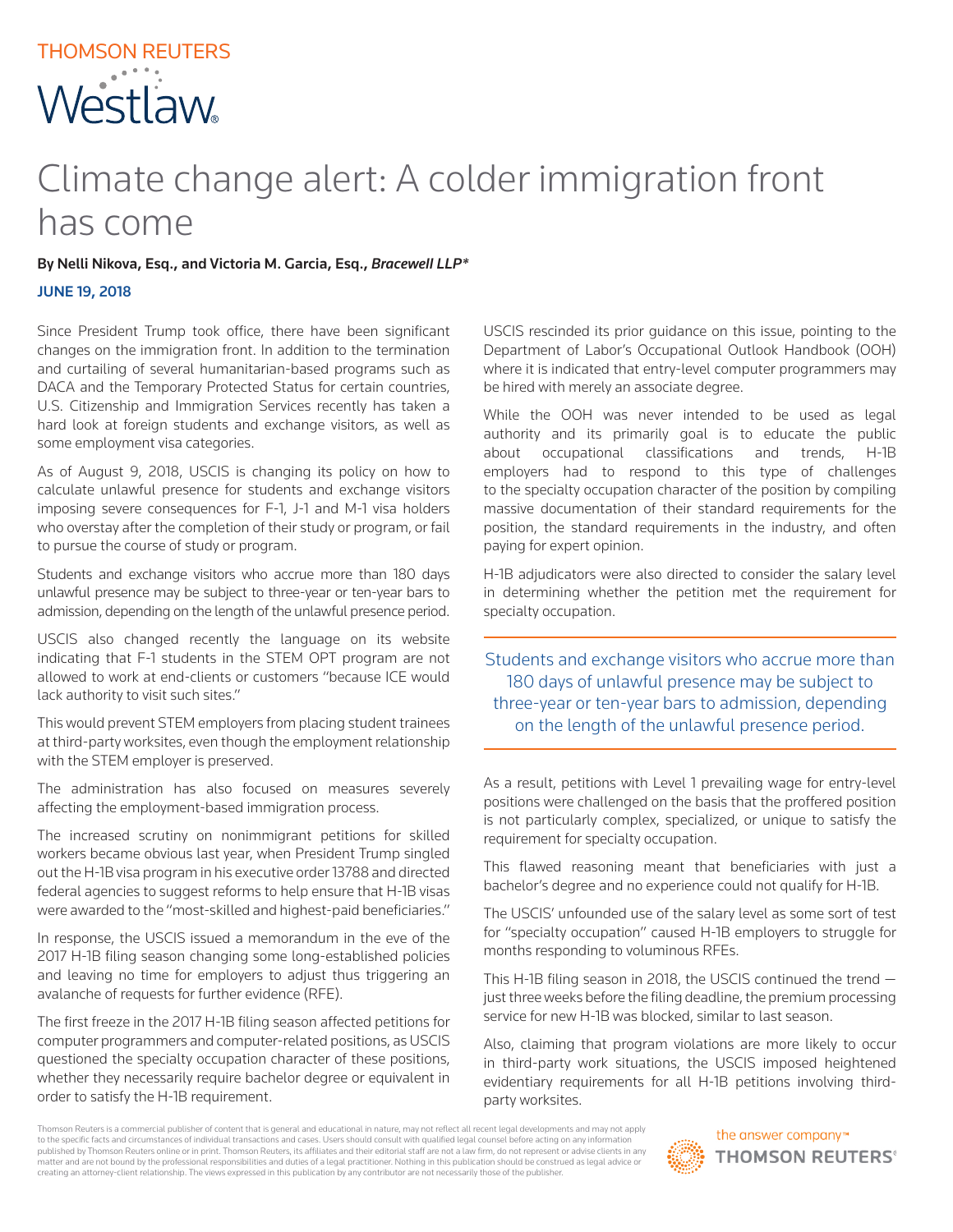## Climate change alert: A colder immigration front has come

By Nelli Nikova, Esq., and Victoria M. Garcia, Esq., *Bracewell LLP\**

## JUNE 19, 2018

Since President Trump took office, there have been significant changes on the immigration front. In addition to the termination and curtailing of several humanitarian-based programs such as DACA and the Temporary Protected Status for certain countries, U.S. Citizenship and Immigration Services recently has taken a hard look at foreign students and exchange visitors, as well as some employment visa categories.

As of August 9, 2018, USCIS is changing its policy on how to calculate unlawful presence for students and exchange visitors imposing severe consequences for F-1, J-1 and M-1 visa holders who overstay after the completion of their study or program, or fail to pursue the course of study or program.

Students and exchange visitors who accrue more than 180 days unlawful presence may be subject to three-year or ten-year bars to admission, depending on the length of the unlawful presence period.

USCIS also changed recently the language on its website indicating that F-1 students in the STEM OPT program are not allowed to work at end-clients or customers "because ICE would lack authority to visit such sites."

This would prevent STEM employers from placing student trainees at third-party worksites, even though the employment relationship with the STEM employer is preserved.

The administration has also focused on measures severely affecting the employment-based immigration process.

The increased scrutiny on nonimmigrant petitions for skilled workers became obvious last year, when President Trump singled out the H-1B visa program in his executive order 13788 and directed federal agencies to suggest reforms to help ensure that H-1B visas were awarded to the "most-skilled and highest-paid beneficiaries."

In response, the USCIS issued a memorandum in the eve of the 2017 H-1B filing season changing some long-established policies and leaving no time for employers to adjust thus triggering an avalanche of requests for further evidence (RFE).

The first freeze in the 2017 H-1B filing season affected petitions for computer programmers and computer-related positions, as USCIS questioned the specialty occupation character of these positions, whether they necessarily require bachelor degree or equivalent in order to satisfy the H-1B requirement.

USCIS rescinded its prior guidance on this issue, pointing to the Department of Labor's Occupational Outlook Handbook (OOH) where it is indicated that entry-level computer programmers may be hired with merely an associate degree.

While the OOH was never intended to be used as legal authority and its primarily goal is to educate the public about occupational classifications and trends, H-1B employers had to respond to this type of challenges to the specialty occupation character of the position by compiling massive documentation of their standard requirements for the position, the standard requirements in the industry, and often paying for expert opinion.

H-1B adjudicators were also directed to consider the salary level in determining whether the petition met the requirement for specialty occupation.

Students and exchange visitors who accrue more than 180 days of unlawful presence may be subject to three-year or ten-year bars to admission, depending on the length of the unlawful presence period.

As a result, petitions with Level 1 prevailing wage for entry-level positions were challenged on the basis that the proffered position is not particularly complex, specialized, or unique to satisfy the requirement for specialty occupation.

This flawed reasoning meant that beneficiaries with just a bachelor's degree and no experience could not qualify for H-1B.

The USCIS' unfounded use of the salary level as some sort of test for "specialty occupation" caused H-1B employers to struggle for months responding to voluminous RFEs.

This H-1B filing season in 2018, the USCIS continued the trend just three weeks before the filing deadline, the premium processing service for new H-1B was blocked, similar to last season.

Also, claiming that program violations are more likely to occur in third-party work situations, the USCIS imposed heightened evidentiary requirements for all H-1B petitions involving thirdparty worksites.

Thomson Reuters is a commercial publisher of content that is general and educational in nature, may not reflect all recent legal developments and may not apply to the specific facts and circumstances of individual transactions and cases. Users should consult with qualified legal counsel before acting on any information published by Thomson Reuters online or in print. Thomson Reuters, its affiliates and their editorial staff are not a law firm, do not represent or advise clients in any matter and are not bound by the professional responsibilities and duties of a legal practitioner. Nothing in this publication should be construed as legal advice or creating an attorney-client relationship. The views expressed in this publication by any contributor are not necessarily those of the publisher.